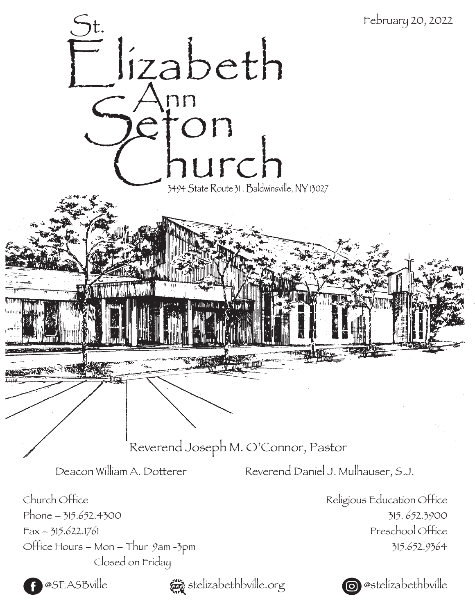



**@SEASBville**  $\bullet$  stelizabethbville.org **@**@stelizabethbville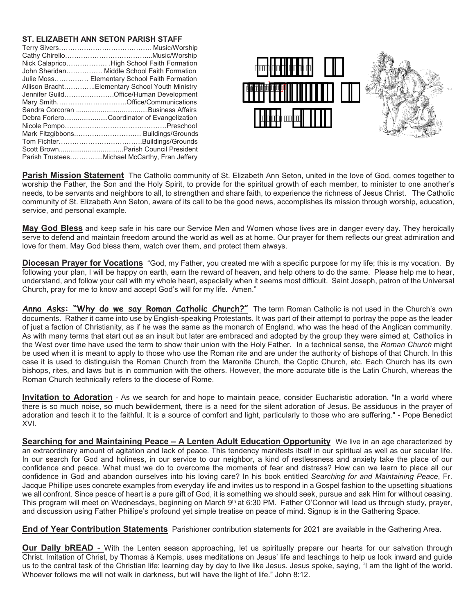## **ST. ELIZABETH ANN SETON PARISH STAFF**

| Nick Calaprico High School Faith Formation     |
|------------------------------------------------|
| John Sheridan Middle School Faith Formation    |
| Julie Moss Elementary School Faith Formation   |
| Allison BrachtElementary School Youth Ministry |
| Jennifer GuildOffice/Human Development         |
| Mary SmithOffice/Communications                |
|                                                |
| Debra ForieroCoordinator of Evangelization     |
|                                                |
|                                                |
|                                                |
|                                                |
| Parish TrusteesMichael McCarthy, Fran Jeffery  |



**Parish Mission Statement** The Catholic community of St. Elizabeth Ann Seton, united in the love of God, comes together to worship the Father, the Son and the Holy Spirit, to provide for the spiritual growth of each member, to minister to one another's needs, to be servants and neighbors to all, to strengthen and share faith, to experience the richness of Jesus Christ. The Catholic community of St. Elizabeth Ann Seton, aware of its call to be the good news, accomplishes its mission through worship, education, service, and personal example.

**May God Bless** and keep safe in his care our Service Men and Women whose lives are in danger every day. They heroically serve to defend and maintain freedom around the world as well as at home. Our prayer for them reflects our great admiration and love for them. May God bless them, watch over them, and protect them always.

**Diocesan Prayer for Vocations** "God, my Father, you created me with a specific purpose for my life; this is my vocation. By following your plan, I will be happy on earth, earn the reward of heaven, and help others to do the same. Please help me to hear, understand, and follow your call with my whole heart, especially when it seems most difficult. Saint Joseph, patron of the Universal Church, pray for me to know and accept God's will for my life. Amen."

Anna Asks: "Why do we say Roman Catholic Church?" The term Roman Catholic is not used in the Church's own documents. Rather it came into use by English-speaking Protestants. It was part of their attempt to portray the pope as the leader of just a faction of Christianity, as if he was the same as the monarch of England, who was the head of the Anglican community. As with many terms that start out as an insult but later are embraced and adopted by the group they were aimed at, Catholics in the West over time have used the term to show their union with the Holy Father. In a technical sense, the *Roman Church* might be used when it is meant to apply to those who use the Roman rite and are under the authority of bishops of that Church. In this case it is used to distinguish the Roman Church from the Maronite Church, the Coptic Church, etc. Each Church has its own bishops, rites, and laws but is in communion with the others. However, the more accurate title is the Latin Church, whereas the Roman Church technically refers to the diocese of Rome.

**Invitation to Adoration** - As we search for and hope to maintain peace, consider Eucharistic adoration. "In a world where there is so much noise, so much bewilderment, there is a need for the silent adoration of Jesus. Be assiduous in the prayer of adoration and teach it to the faithful. It is a source of comfort and light, particularly to those who are suffering." - Pope Benedict XVI.

**Searching for and Maintaining Peace - A Lenten Adult Education Opportunity** We live in an age characterized by an extraordinary amount of agitation and lack of peace. This tendency manifests itself in our spiritual as well as our secular life. In our search for God and holiness, in our service to our neighbor, a kind of restlessness and anxiety take the place of our confidence and peace. What must we do to overcome the moments of fear and distress? How can we learn to place all our confidence in God and abandon ourselves into his loving care? In his book entitled *Searching for and Maintaining Peace*, Fr. Jacque Phillipe uses concrete examples from everyday life and invites us to respond in a Gospel fashion to the upsetting situations we all confront. Since peace of heart is a pure gift of God, it is something we should seek, pursue and ask Him for without ceasing. This program will meet on Wednesdays, beginning on March 9th at 6:30 PM. Father O'Connor will lead us through study, prayer, and discussion using Father Phillipe's profound yet simple treatise on peace of mind. Signup is in the Gathering Space.

**End of Year Contribution Statements** Parishioner contribution statements for 2021 are available in the Gathering Area.

**Our Daily bREAD** - With the Lenten season approaching, let us spiritually prepare our hearts for our salvation through Christ. Imitation of Christ, by Thomas à Kempis, uses meditations on Jesus' life and teachings to help us look inward and guide us to the central task of the Christian life: learning day by day to live like Jesus. Jesus spoke, saying, "I am the light of the world. Whoever follows me will not walk in darkness, but will have the light of life." John 8:12.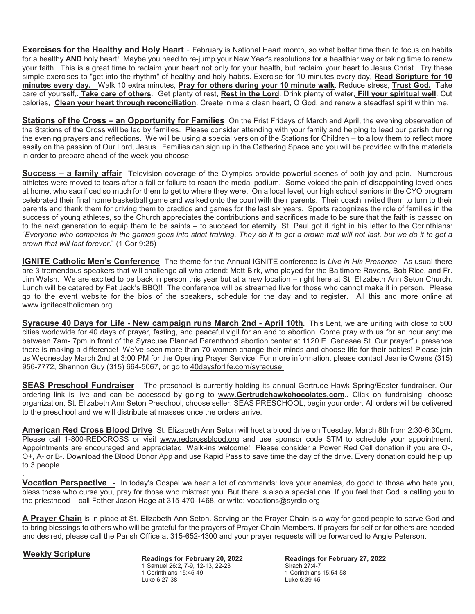**Exercises for the Healthy and Holy Heart** - February is National Heart month, so what better time than to focus on habits for a healthy **AND** holy heart! Maybe you need to re-jump your New Year's resolutions for a healthier way or taking time to renew your faith. This is a great time to reclaim your heart not only for your health, but reclaim your heart to Jesus Christ. Try these simple exercises to "get into the rhythm" of healthy and holy habits. Exercise for 10 minutes every day, **Read Scripture for 10 minutes every day.** Walk 10 extra minutes, **Pray for others during your 10 minute walk**. Reduce stress, **Trust God.** Take care of yourself,. **Take care of others**. Get plenty of rest, **Rest in the Lord**. Drink plenty of water, **Fill your spiritual well**. Cut calories, **Clean your heart through reconciliation**. Create in me a clean heart, O God, and renew a steadfast spirit within me.

**Stations of the Cross – an Opportunity for Families** On the Frist Fridays of March and April, the evening observation of the Stations of the Cross will be led by families. Please consider attending with your family and helping to lead our parish during the evening prayers and reflections. We will be using a special version of the Stations for Children – to allow them to reflect more easily on the passion of Our Lord, Jesus. Families can sign up in the Gathering Space and you will be provided with the materials in order to prepare ahead of the week you choose.

**Success – a family affair** Television coverage of the Olympics provide powerful scenes of both joy and pain. Numerous athletes were moved to tears after a fall or failure to reach the medal podium. Some voiced the pain of disappointing loved ones at home, who sacrificed so much for them to get to where they were. On a local level, our high school seniors in the CYO program celebrated their final home basketball game and walked onto the court with their parents. Their coach invited them to turn to their parents and thank them for driving them to practice and games for the last six years. Sports recognizes the role of families in the success of young athletes, so the Church appreciates the contributions and sacrifices made to be sure that the faith is passed on to the next generation to equip them to be saints – to succeed for eternity. St. Paul got it right in his letter to the Corinthians: "*Everyone who competes in the games goes into strict training. They do it to get a crown that will not last, but we do it to get a crown that will last forever*." (1 Cor 9:25)

**IGNITE Catholic Men's Conference** The theme for the Annual IGNITE conference is *Live in His Presence*. As usual there are 3 tremendous speakers that will challenge all who attend: Matt Birk, who played for the Baltimore Ravens, Bob Rice, and Fr. Jim Walsh. We are excited to be back in person this year but at a new location – right here at St. Elizabeth Ann Seton Church. Lunch will be catered by Fat Jack's BBQ!! The conference will be streamed live for those who cannot make it in person. Please go to the event website for the bios of the speakers, schedule for the day and to register. All this and more online at www.ignitecatholicmen.org

**Syracuse 40 Days for Life - New campaign runs March 2nd - April 10th***.* This Lent, we are uniting with close to 500 cities worldwide for 40 days of prayer, fasting, and peaceful vigil for an end to abortion. Come pray with us for an hour anytime between 7am- 7pm in front of the Syracuse Planned Parenthood abortion center at 1120 E. Genesee St. Our prayerful presence there is making a difference! We've seen more than 70 women change their minds and choose life for their babies! Please join us Wednesday March 2nd at 3:00 PM for the Opening Prayer Service! For more information, please contact Jeanie Owens (315) 956-7772, Shannon Guy (315) 664-5067, or go to 40daysforlife.com/syracuse

**SEAS Preschool Fundraiser** – The preschool is currently holding its annual Gertrude Hawk Spring/Easter fundraiser. Our ordering link is live and can be accessed by going to www.**Gertrudehawkchocolates.com**.**.** Click on fundraising, choose organization, St. Elizabeth Ann Seton Preschool, choose seller: SEAS PRESCHOOL, begin your order. All orders will be delivered to the preschool and we will distribute at masses once the orders arrive.

**American Red Cross Blood Drive**- St. Elizabeth Ann Seton will host a blood drive on Tuesday, March 8th from 2:30-6:30pm. Please call 1-800-REDCROSS or visit www.redcrossblood.org and use sponsor code STM to schedule your appointment. Appointments are encouraged and appreciated. Walk-ins welcome! Please consider a Power Red Cell donation if you are O-, O+, A- or B-. Download the Blood Donor App and use Rapid Pass to save time the day of the drive. Every donation could help up to 3 people.

**Vocation Perspective -** In today's Gospel we hear a lot of commands: love your enemies, do good to those who hate you, bless those who curse you, pray for those who mistreat you. But there is also a special one. If you feel that God is calling you to the priesthood – call Father Jason Hage at 315-470-1468, or write: vocations@syrdio.org

**A Prayer Chain** is in place at St. Elizabeth Ann Seton. Serving on the Prayer Chain is a way for good people to serve God and to bring blessings to others who will be grateful for the prayers of Prayer Chain Members. If prayers for self or for others are needed and desired, please call the Parish Office at 315-652-4300 and your prayer requests will be forwarded to Angie Peterson.

.

**Weekly Scripture Readings for February 20, 2022** 1 Samuel 26:2, 7-9, 12-13, 22-23 1 Corinthians 15:45-49 Luke 6:27-38

**Readings for February 27, 2022**  Sirach 27:4-7 1 Corinthians 15:54-58 Luke 6:39-45